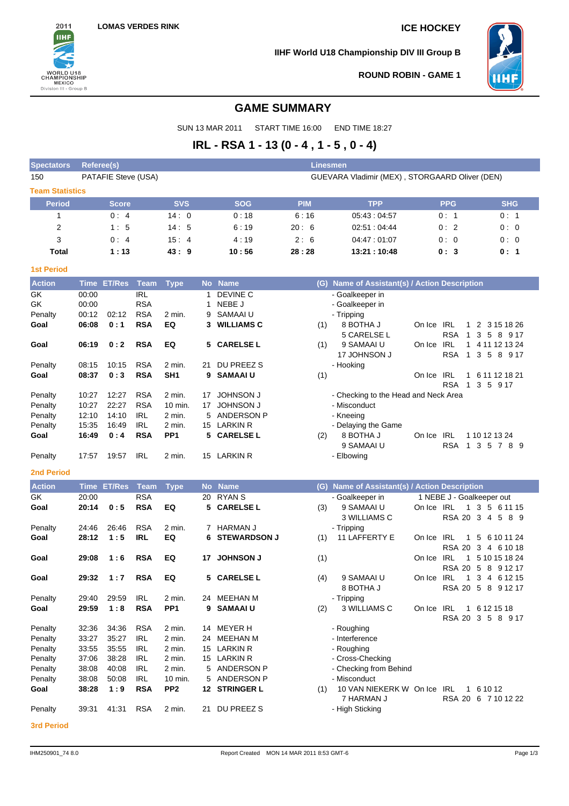

**IIHF World U18 Championship DIV III Group B**



**ROUND ROBIN - GAME 1**

# **GAME SUMMARY**

SUN 13 MAR 2011 START TIME 16:00 END TIME 18:27

# **IRL - RSA 1 - 13 (0 - 4 , 1 - 5 , 0 - 4)**

| <b>Spectators</b>                  | <b>Referee(s)</b><br><b>Linesmen</b> |             |                                                                       |                 |              |                     |            |                                                  |            |                            |                           |
|------------------------------------|--------------------------------------|-------------|-----------------------------------------------------------------------|-----------------|--------------|---------------------|------------|--------------------------------------------------|------------|----------------------------|---------------------------|
| 150                                |                                      |             | PATAFIE Steve (USA)<br>GUEVARA Vladimir (MEX), STORGAARD Oliver (DEN) |                 |              |                     |            |                                                  |            |                            |                           |
| <b>Team Statistics</b>             |                                      |             |                                                                       |                 |              |                     |            |                                                  |            |                            |                           |
| <b>Period</b>                      |                                      | Score       |                                                                       | <b>SVS</b>      |              | <b>SOG</b>          | <b>PIM</b> | <b>TPP</b>                                       |            | <b>PPG</b>                 | <b>SHG</b>                |
| 1                                  |                                      | 0:4         |                                                                       | 14:0            |              | 0:18                | 6:16       | 05:43:04:57                                      |            | 0:1                        | 0: 1                      |
| 2                                  |                                      | 1:5         |                                                                       | 14:5            |              | 6:19                | 20:6       | 02:51:04:44                                      |            | 0:2                        | 0:0                       |
| 3                                  |                                      | 0:4         |                                                                       | 15:4            |              | 4:19                | 2:6        | 04:47:01:07                                      |            | 0:0                        | 0:0                       |
| Total                              |                                      | 1:13        |                                                                       | 43:9            |              | 10:56               | 28:28      | 13:21:10:48                                      |            | 0:3                        | 0: 1                      |
|                                    |                                      |             |                                                                       |                 |              |                     |            |                                                  |            |                            |                           |
| <b>1st Period</b><br><b>Action</b> |                                      |             |                                                                       |                 |              | No Name             |            | (G) Name of Assistant(s) / Action Description    |            |                            |                           |
| GK                                 |                                      | Time ET/Res | <b>Team</b><br><b>IRL</b>                                             | <b>Type</b>     |              | DEVINE C            |            |                                                  |            |                            |                           |
| GK                                 | 00:00<br>00:00                       |             | <b>RSA</b>                                                            |                 | $\mathbf{1}$ | NEBE J              |            | - Goalkeeper in<br>- Goalkeeper in               |            |                            |                           |
| Penalty                            | 00:12                                | 02:12       | <b>RSA</b>                                                            | 2 min.          | 9            | SAMAAI U            |            | - Tripping                                       |            |                            |                           |
| Goal                               | 06:08                                | 0:1         | <b>RSA</b>                                                            | EQ              | 3            | <b>WILLIAMS C</b>   | (1)        | 8 BOTHA J                                        | On Ice IRL | $\mathbf{1}$               | 2 3 15 18 26              |
|                                    |                                      |             |                                                                       |                 |              |                     |            | 5 CARELSE L                                      |            | <b>RSA</b><br>$\mathbf{1}$ | 3 5 8 9 17                |
| Goal                               | 06:19                                | 0:2         | <b>RSA</b>                                                            | EQ              | 5.           | <b>CARELSE L</b>    | (1)        | 9 SAMAAI U                                       | On Ice     | IRL                        | 1 4 11 12 13 24           |
|                                    |                                      |             |                                                                       |                 |              |                     |            | 17 JOHNSON J                                     |            | RSA<br>$\mathbf{1}$        | 3<br>5 8 9 17             |
|                                    | 08:15                                | 10:15       | <b>RSA</b>                                                            | 2 min.          | 21           | DU PREEZ S          |            |                                                  |            |                            |                           |
| Penalty<br>Goal                    | 08:37                                | 0:3         | <b>RSA</b>                                                            | SH <sub>1</sub> |              | 9 SAMAAI U          |            | - Hooking                                        | On Ice IRL |                            | 1 6 11 12 18 21           |
|                                    |                                      |             |                                                                       |                 |              |                     | (1)        |                                                  |            | RSA<br>$\mathbf{1}$        | 3 5 9 17                  |
| Penalty                            | 10:27                                | 12:27       | <b>RSA</b>                                                            | $2$ min.        |              | 17 JOHNSON J        |            | - Checking to the Head and Neck Area             |            |                            |                           |
| Penalty                            | 10:27                                | 22:27       | <b>RSA</b>                                                            | 10 min.         | 17           | <b>JOHNSON J</b>    |            | - Misconduct                                     |            |                            |                           |
| Penalty                            | 12:10                                | 14:10       | IRL                                                                   | 2 min.          | 5            | ANDERSON P          |            | - Kneeing                                        |            |                            |                           |
| Penalty                            | 15:35                                | 16:49       | IRL                                                                   | 2 min.          |              | 15 LARKIN R         |            | - Delaying the Game                              |            |                            |                           |
| Goal                               | 16:49                                | 0:4         | <b>RSA</b>                                                            | PP <sub>1</sub> | 5.           | <b>CARELSE L</b>    | (2)        | 8 BOTHA J                                        | On Ice IRL |                            | 1 10 12 13 24             |
|                                    |                                      |             |                                                                       |                 |              |                     |            | 9 SAMAAI U                                       |            | <b>RSA</b>                 | 1 3 5 7 8 9               |
| Penalty                            | 17:57                                | 19:57       | <b>IRL</b>                                                            | 2 min.          |              | 15 LARKIN R         |            | - Elbowing                                       |            |                            |                           |
| <b>2nd Period</b>                  |                                      |             |                                                                       |                 |              |                     |            |                                                  |            |                            |                           |
| <b>Action</b>                      |                                      | Time ET/Res | <b>Team</b>                                                           | <b>Type</b>     |              | No Name             | (G)        | <b>Name of Assistant(s) / Action Description</b> |            |                            |                           |
| GK                                 | 20:00                                |             | <b>RSA</b>                                                            |                 | 20           | RYAN S              |            | - Goalkeeper in                                  |            |                            | 1 NEBE J - Goalkeeper out |
| Goal                               | 20:14                                | 0:5         | <b>RSA</b>                                                            | EQ              |              | 5 CARELSE L         | (3)        | 9 SAMAAI U                                       | On Ice IRL |                            | 1 3 5 6 11 15             |
|                                    |                                      |             |                                                                       |                 |              |                     |            | 3 WILLIAMS C                                     |            |                            | RSA 20 3 4 5 8 9          |
| Penalty                            | 24:46                                | 26:46       | <b>RSA</b>                                                            | 2 min.          |              | 7 HARMAN J          |            | - Tripping                                       |            |                            |                           |
| Goal                               | 28:12                                | 1:5         | <b>IRL</b>                                                            | EQ              | 6            | <b>STEWARDSON J</b> | (1)        | 11 LAFFERTY E                                    | On Ice IRL | 1                          | 5<br>6 10 11 24           |
|                                    |                                      |             |                                                                       |                 |              |                     |            |                                                  |            |                            | RSA 20 3 4 6 10 18        |
| Goal                               | 29:08                                | 1:6         | <b>RSA</b>                                                            | EQ              |              | 17 JOHNSON J        | (1)        |                                                  | On Ice IRL |                            | 1 5 10 15 18 24           |
|                                    |                                      |             |                                                                       |                 |              |                     |            |                                                  |            |                            | RSA 20 5 8 9 12 17        |
| Goal                               | 29:32                                | 1:7         | <b>RSA</b>                                                            | EQ              |              | 5 CARELSE L         | (4)        | 9 SAMAAI U                                       | On Ice IRL |                            | 1 3 4 6 12 15             |
|                                    |                                      |             |                                                                       |                 |              |                     |            | 8 BOTHA J                                        |            |                            | RSA 20 5 8 9 12 17        |
| Penalty                            | 29:40                                | 29:59       | <b>IRL</b>                                                            | 2 min.          |              | 24 MEEHAN M         |            | - Tripping                                       |            |                            |                           |
| Goal                               | 29:59                                | 1:8         | <b>RSA</b>                                                            | PP <sub>1</sub> | 9            | <b>SAMAAIU</b>      | (2)        | 3 WILLIAMS C                                     | On Ice IRL |                            | 1 6 12 15 18              |
|                                    |                                      |             |                                                                       |                 |              |                     |            |                                                  |            |                            | RSA 20 3 5 8 9 17         |
| Penalty                            | 32:36                                | 34:36       | <b>RSA</b>                                                            | 2 min.          |              | 14 MEYER H          |            | - Roughing                                       |            |                            |                           |
| Penalty                            | 33:27                                | 35:27       | IRL                                                                   | 2 min.          | 24           | MEEHAN M            |            | - Interference                                   |            |                            |                           |
| Penalty                            | 33:55                                | 35:55       | <b>IRL</b>                                                            | 2 min.          | 15           | LARKIN R            |            | - Roughing                                       |            |                            |                           |
| Penalty                            | 37:06                                | 38:28       | <b>IRL</b>                                                            | 2 min.          | 15           | LARKIN R            |            | - Cross-Checking                                 |            |                            |                           |
| Penalty                            | 38:08                                | 40:08       | IRL                                                                   | 2 min.          |              | 5 ANDERSON P        |            | - Checking from Behind                           |            |                            |                           |
| Penalty                            | 38:08                                | 50:08       | IRL                                                                   | 10 min.         | 5            | ANDERSON P          |            | - Misconduct                                     |            |                            |                           |
| Goal                               | 38:28                                | 1:9         | <b>RSA</b>                                                            | PP <sub>2</sub> |              | 12 STRINGER L       | (1)        | 10 VAN NIEKERK W On Ice IRL                      |            |                            | 1 6 10 12                 |
|                                    |                                      |             |                                                                       |                 |              |                     |            | 7 HARMAN J                                       |            |                            | RSA 20 6 7 10 12 22       |
| Penalty                            | 39:31                                | 41:31       | <b>RSA</b>                                                            | 2 min.          | 21           | DU PREEZ S          |            | - High Sticking                                  |            |                            |                           |
| <b>3rd Period</b>                  |                                      |             |                                                                       |                 |              |                     |            |                                                  |            |                            |                           |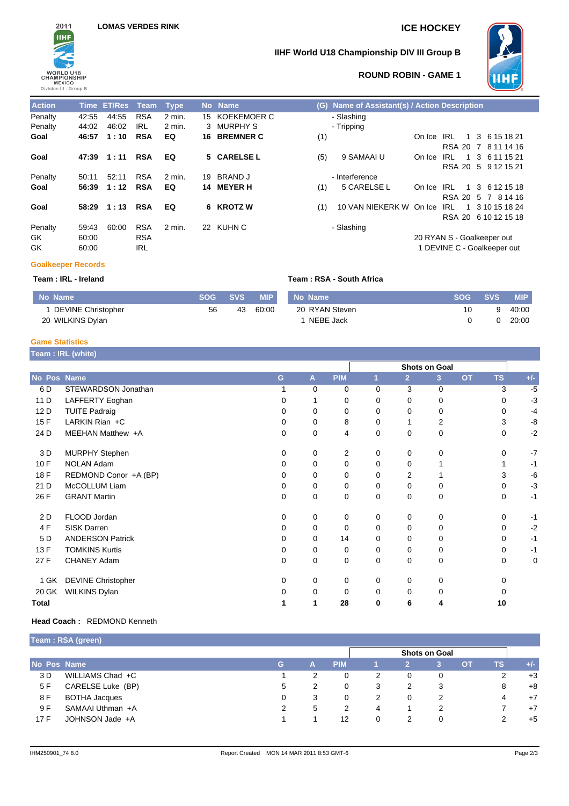

### **IIHF World U18 Championship DIV III Group B**



### **ROUND ROBIN - GAME 1**

| <b>Action</b> |       | Time ET/Res Team |            | Type     |    | No Name             |     | (G) Name of Assistant(s) / Action Description |                             |               |    |   |                     |  |
|---------------|-------|------------------|------------|----------|----|---------------------|-----|-----------------------------------------------|-----------------------------|---------------|----|---|---------------------|--|
| Penalty       | 42:55 | 44:55            | <b>RSA</b> | $2$ min. |    | 15 KOEKEMOER C      |     | - Slashing                                    |                             |               |    |   |                     |  |
| Penalty       | 44:02 | 46:02            | <b>IRL</b> | 2 min.   |    | 3 MURPHYS           |     | - Tripping                                    |                             |               |    |   |                     |  |
| Goal          | 46:57 | 1:10             | <b>RSA</b> | EQ       |    | <b>16 BREMNER C</b> | (1) |                                               | On Ice                      | IRL           | -1 |   | 3 6 15 18 21        |  |
|               |       |                  |            |          |    |                     |     |                                               |                             | <b>RSA 20</b> |    |   | 7 8 11 14 16        |  |
| Goal          | 47:39 | 1:11             | <b>RSA</b> | EQ       |    | 5 CARELSE L         | (5) | 9 SAMAAI U                                    | On Ice                      | IRL           | 1  | 3 | 6 11 15 21          |  |
|               |       |                  |            |          |    |                     |     |                                               |                             |               |    |   | RSA 20 5 9 12 15 21 |  |
| Penalty       | 50:11 | 52:11            | <b>RSA</b> | $2$ min. | 19 | BRAND J             |     | - Interference                                |                             |               |    |   |                     |  |
| Goal          | 56:39 | 1:12             | <b>RSA</b> | EQ       |    | 14 MEYER H          | (1) | 5 CARELSE L                                   | On Ice                      | IRL           |    |   | 1 3 6 12 15 18      |  |
|               |       |                  |            |          |    |                     |     |                                               |                             | <b>RSA 20</b> |    |   | 5 7 8 14 16         |  |
| Goal          | 58:29 | 1:13             | <b>RSA</b> | EQ       |    | 6 KROTZW            | (1) | 10 VAN NIEKERK W On Ice                       |                             | IRL           |    |   | 1 3 10 15 18 24     |  |
|               |       |                  |            |          |    |                     |     |                                               |                             | <b>RSA 20</b> |    |   | 6 10 12 15 18       |  |
| Penalty       | 59:43 | 60:00            | <b>RSA</b> | $2$ min. |    | 22 KUHN C           |     | - Slashing                                    |                             |               |    |   |                     |  |
| GK            | 60:00 |                  | <b>RSA</b> |          |    |                     |     |                                               | 20 RYAN S - Goalkeeper out  |               |    |   |                     |  |
| GK            | 60:00 |                  | IRL        |          |    |                     |     |                                               | 1 DEVINE C - Goalkeeper out |               |    |   |                     |  |

|     | (G) Name of Assistant(s) / Action Description |              |  |                           |  |  |  |  |
|-----|-----------------------------------------------|--------------|--|---------------------------|--|--|--|--|
|     | - Slashing                                    |              |  |                           |  |  |  |  |
|     | - Tripping                                    |              |  |                           |  |  |  |  |
| (1) |                                               |              |  | On Ice IRL 1 3 6 15 18 21 |  |  |  |  |
|     |                                               |              |  | RSA 20 7 8 11 14 16       |  |  |  |  |
| (5) | 9 SAMAAI U                                    | On Ice IRI   |  | 1 3 6 11 15 21            |  |  |  |  |
|     |                                               |              |  | RSA 20 5 9 12 15 21       |  |  |  |  |
|     | - Interference                                |              |  |                           |  |  |  |  |
| (1) | 5 CARELSE L                                   | On Ice IRI - |  | 1 3 6 12 15 18            |  |  |  |  |
|     |                                               |              |  | RSA 20 5 7 8 14 16        |  |  |  |  |
| (1) | 10 VAN NIEKERK W On Ice IRL                   |              |  | 1 3 10 15 18 24           |  |  |  |  |
|     |                                               |              |  | RSA 20 6 10 12 15 18      |  |  |  |  |
|     | - Slashing                                    |              |  |                           |  |  |  |  |
|     | 20 RYAN S - Goalkeeper out                    |              |  |                           |  |  |  |  |
|     | 1 DEVINE C - Goalkeeper out                   |              |  |                           |  |  |  |  |

### **Goalkeeper Records**

### **Team : IRL - Ireland Team : RSA - South Africa**

### **No Name SOG SVS MIP** 1 DEVINE Christopher 20 WILKINS Dylan 56 43 60:00 **No Name SOG SVS MIP** 20 RYAN Steven 1 NEBE Jack 10 0 9 0 40:00 20:00

### **Game Statistics**

|  | Team : IRL (white) |  |
|--|--------------------|--|
|--|--------------------|--|

|              |                           |    |              |            |             |                | <b>Shots on Goal</b> |           |             |       |
|--------------|---------------------------|----|--------------|------------|-------------|----------------|----------------------|-----------|-------------|-------|
| No Pos Name  |                           | G. | $\mathsf{A}$ | <b>PIM</b> | 1           | $\overline{2}$ | 3                    | <b>OT</b> | <b>TS</b>   | $+/-$ |
| 6 D          | STEWARDSON Jonathan       |    | $\Omega$     | 0          | $\Omega$    | 3              | 0                    |           | 3           | $-5$  |
| 11 D         | LAFFERTY Eoghan           | 0  |              | 0          | 0           | 0              | 0                    |           | $\Omega$    | $-3$  |
| 12 D         | <b>TUITE Padraig</b>      | 0  | $\Omega$     | 0          | 0           | $\Omega$       | 0                    |           | $\Omega$    | $-4$  |
| 15F          | LARKIN Rian +C            | 0  | 0            | 8          | 0           | 1              | 2                    |           | 3           | -8    |
| 24 D         | MEEHAN Matthew +A         | 0  | 0            | 4          | 0           | $\mathbf 0$    | 0                    |           | $\mathbf 0$ | $-2$  |
| 3 D          | <b>MURPHY Stephen</b>     | 0  | 0            | 2          | $\mathbf 0$ | 0              | 0                    |           | $\mathbf 0$ | $-7$  |
| 10F          | NOLAN Adam                | 0  | 0            | 0          | 0           | 0              |                      |           |             | $-1$  |
| 18 F         | REDMOND Conor +A (BP)     |    | 0            | 0          | 0           | 2              |                      |           | 3           | $-6$  |
| 21 D         | McCOLLUM Liam             |    | $\Omega$     | 0          | 0           | 0              | 0                    |           | 0           | $-3$  |
| 26 F         | <b>GRANT Martin</b>       | 0  | 0            | 0          | 0           | 0              | 0                    |           | 0           | $-1$  |
| 2 D          | FLOOD Jordan              | 0  | 0            | 0          | $\mathbf 0$ | $\Omega$       | 0                    |           | $\Omega$    | $-1$  |
| 4F           | <b>SISK Darren</b>        | 0  | 0            | 0          | 0           | 0              | 0                    |           | 0           | $-2$  |
| 5 D          | <b>ANDERSON Patrick</b>   | 0  | 0            | 14         | 0           | 0              | 0                    |           | 0           | $-1$  |
| 13F          | <b>TOMKINS Kurtis</b>     |    | 0            | 0          | 0           | 0              | 0                    |           | $\Omega$    | $-1$  |
| 27 F         | <b>CHANEY Adam</b>        | 0  | 0            | 0          | 0           | 0              | 0                    |           | 0           | 0     |
| 1 GK         | <b>DEVINE Christopher</b> | 0  | 0            | 0          | 0           | $\Omega$       | 0                    |           | $\Omega$    |       |
| 20 GK        | <b>WILKINS Dylan</b>      |    | $\Omega$     | 0          | 0           | 0              | 0                    |           | 0           |       |
| <b>Total</b> |                           |    | 1            | 28         | 0           | 6              | 4                    |           | 10          |       |

### **Head Coach :** REDMOND Kenneth

|             | Team: RSA (green)    |          |   |            |   |   |                      |           |      |       |
|-------------|----------------------|----------|---|------------|---|---|----------------------|-----------|------|-------|
|             |                      |          |   |            |   |   | <b>Shots on Goal</b> |           |      |       |
| No Pos Name |                      | <b>G</b> | А | <b>PIM</b> |   |   | З.                   | <b>OT</b> | ⁄ΤS. | $+/-$ |
| 3 D         | WILLIAMS Chad +C     |          | 2 | 0          | 2 | 0 | 0                    |           | 2    | $+3$  |
| 5 F         | CARELSE Luke (BP)    | 5        | 2 | 0          | З |   | 3                    |           | 8    | $+8$  |
| 8 F         | <b>BOTHA Jacques</b> |          | 3 | 0          | 2 | 0 | 2                    |           | 4    | $+7$  |
| 9 F         | SAMAAI Uthman +A     |          | 5 |            | 4 |   | 2                    |           |      | $+7$  |
| 17F         | JOHNSON Jade +A      |          |   | 12         | 0 |   | 0                    |           | າ    | $+5$  |
|             |                      |          |   |            |   |   |                      |           |      |       |